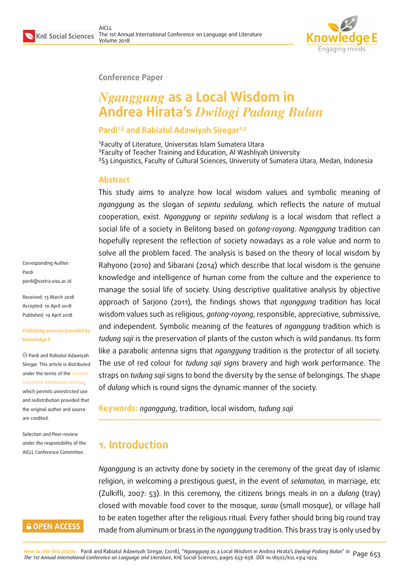

#### **Conference Paper**

# *Nganggung* **as a Local Wisdom in Andrea Hirata's** *Dwilogi Padang Bulan*

### **Pardi1,3 and Rabiatul Adawiyah Siregar2,3**

1 Faculty of Literature, Universitas Islam Sumatera Utara 2 Faculty of Teacher Training and Education, Al Washliyah University <sup>3</sup>S3 Linguistics, Faculty of Cultural Sciences, University of Sumatera Utara, Medan, Indonesia

#### **Abstract**

This study aims to analyze how local wisdom values and symbolic meaning of *nganggung* as the slogan of *sepintu sedulang,* which reflects the nature of mutual cooperation, exist. *Nganggung* or *sepintu sedulang* is a local wisdom that reflect a social life of a society in Belitong based on *gotong-royong*. *Nganggung* tradition can hopefully represent the reflection of society nowadays as a role value and norm to solve all the problem faced. The analysis is based on the theory of local wisdom by Rahyono (2010) and Sibarani (2014) which describe that local wisdom is the genuine knowledge and intelligence of human come from the culture and the experience to manage the sosial life of society. Using descriptive qualitative analysis by objective approach of Sarjono (2011), the findings shows that *nganggung* tradition has local wisdom values such as religious, *gotong-royong*, responsible, appreciative, submissive, and independent. Symbolic meaning of the features of *nganggung* tradition which is *tudung saji* is the preservation of plants of the custon which is wild pandanus. Its form like a parabolic antenna signs that *nganggung* tradition is the protector of all society. The use of red colour for *tudung saji signs* bravery and high work performance. The straps on *tudung saji* signs to bond the diversity by the sense of belongings. The shape of *dulang* which is round signs the dynamic manner of the society.

**Keywords:** *nganggung*, tradition, local wisdom, *tudung saji*

# **1. Introduction**

*Nganggung* is an activity done by society in the ceremony of the great day of islamic religion, in welcoming a prestigous guest, in the event of *selamatan,* in marriage, etc (Zulkifli, 2007: 53). In this ceremony, the citizens brings meals in on a *dulang* (tray) closed with movable food cover to the mosque, *surau* (small mosque), or village hall to be eaten together after the religious ritual. Every father should bring big round tray made from aluminum or brass in the *nganggung* tradition. This brass tray is only used by

Corresponding Author: Pardi pardi@sastra.uisu.ac.id

Received: 13 March 2018 Accepted: 10 April 2018 [Published: 19 April 2018](mailto:pardi@sastra.uisu.ac.id)

#### **Publishing services provided by Knowledge E**

Pardi and Rabiatul Adawiyah Siregar. This article is distributed under the terms of the Creative Commons Attribution License,

which permits unrestricted use and redistribution provided that the original author and [source](https://creativecommons.org/licenses/by/4.0/) [are credited.](https://creativecommons.org/licenses/by/4.0/)

Selection and Peer-review under the responsibility of the AICLL Conference Committee.

## **GOPEN ACCESS**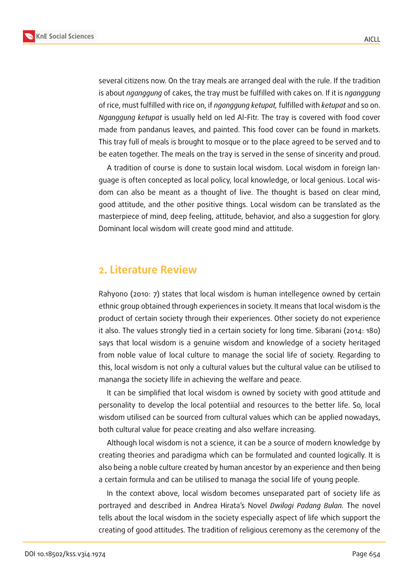



several citizens now. On the tray meals are arranged deal with the rule. If the tradition is about *nganggung* of cakes, the tray must be fulfilled with cakes on. If it is *nganggung* of rice, must fulfilled with rice on, if *nganggung ketupat,* fulfilled with *ketupat* and so on. *Nganggung ketupat* is usually held on Ied Al-Fitr. The tray is covered with food cover made from pandanus leaves, and painted. This food cover can be found in markets.

This tray full of meals is brought to mosque or to the place agreed to be served and to be eaten together. The meals on the tray is served in the sense of sincerity and proud.

A tradition of course is done to sustain local wisdom. Local wisdom in foreign language is often concepted as local policy, local knowledge, or local genious. Local wisdom can also be meant as a thought of live. The thought is based on clear mind, good attitude, and the other positive things. Local wisdom can be translated as the masterpiece of mind, deep feeling, attitude, behavior, and also a suggestion for glory. Dominant local wisdom will create good mind and attitude.

## **2. Literature Review**

Rahyono (2010: 7) states that local wisdom is human intellegence owned by certain ethnic group obtained through experiences in society. It means that local wisdom is the product of certain society through their experiences. Other society do not experience it also. The values strongly tied in a certain society for long time. Sibarani (2014: 180) says that local wisdom is a genuine wisdom and knowledge of a society heritaged from noble value of local culture to manage the social life of society. Regarding to this, local wisdom is not only a cultural values but the cultural value can be utilised to mananga the society llife in achieving the welfare and peace.

It can be simplified that local wisdom is owned by society with good attitude and personality to develop the local potentiial and resources to the better life. So, local wisdom utilised can be sourced from cultural values which can be applied nowadays, both cultural value for peace creating and also welfare increasing.

Although local wisdom is not a science, it can be a source of modern knowledge by creating theories and paradigma which can be formulated and counted logically. It is also being a noble culture created by human ancestor by an experience and then being a certain formula and can be utilised to managa the social life of young people.

In the context above, local wisdom becomes unseparated part of society life as portrayed and described in Andrea Hirata's Novel *Dwilogi Padang Bulan.* The novel tells about the local wisdom in the society especially aspect of life which support the creating of good attitudes. The tradition of religious ceremony as the ceremony of the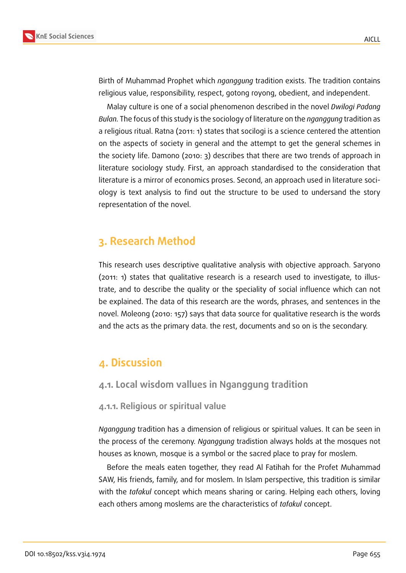

Birth of Muhammad Prophet which *nganggung* tradition exists. The tradition contains religious value, responsibility, respect, gotong royong, obedient, and independent.

Malay culture is one of a social phenomenon described in the novel *Dwilogi Padang Bulan.* The focus of this study is the sociology of literature on the *nganggung* tradition as a religious ritual. Ratna (2011: 1) states that socilogi is a science centered the attention on the aspects of society in general and the attempt to get the general schemes in the society life. Damono (2010: 3) describes that there are two trends of approach in literature sociology study. First, an approach standardised to the consideration that literature is a mirror of economics proses. Second, an approach used in literature sociology is text analysis to find out the structure to be used to undersand the story representation of the novel.

# **3. Research Method**

This research uses descriptive qualitative analysis with objective approach. Saryono (2011: 1) states that qualitative research is a research used to investigate, to illustrate, and to describe the quality or the speciality of social influence which can not be explained. The data of this research are the words, phrases, and sentences in the novel. Moleong (2010: 157) says that data source for qualitative research is the words and the acts as the primary data. the rest, documents and so on is the secondary.

## **4. Discussion**

## **4.1. Local wisdom vallues in Nganggung tradition**

#### **4.1.1. Religious or spiritual value**

*Nganggung* tradition has a dimension of religious or spiritual values. It can be seen in the process of the ceremony. *Nganggung* tradistion always holds at the mosques not houses as known, mosque is a symbol or the sacred place to pray for moslem.

Before the meals eaten together, they read Al Fatihah for the Profet Muhammad SAW, His friends, family, and for moslem. In Islam perspective, this tradition is similar with the *tafakul* concept which means sharing or caring. Helping each others, loving each others among moslems are the characteristics of *tafakul* concept.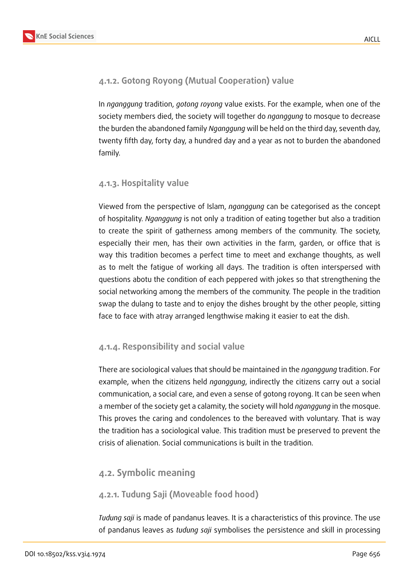## **4.1.2. Gotong Royong (Mutual Cooperation) value**

In *nganggung* tradition, *gotong royong* value exists. For the example, when one of the society members died, the society will together do *nganggung* to mosque to decrease the burden the abandoned family *Nganggung* will be held on the third day, seventh day, twenty fifth day, forty day, a hundred day and a year as not to burden the abandoned family.

## **4.1.3. Hospitality value**

Viewed from the perspective of Islam, *nganggung* can be categorised as the concept of hospitality. *Nganggung* is not only a tradition of eating together but also a tradition to create the spirit of gatherness among members of the community. The society, especially their men, has their own activities in the farm, garden, or office that is way this tradition becomes a perfect time to meet and exchange thoughts, as well as to melt the fatigue of working all days. The tradition is often interspersed with questions abotu the condition of each peppered with jokes so that strengthening the social networking among the members of the community. The people in the tradition swap the dulang to taste and to enjoy the dishes brought by the other people, sitting face to face with atray arranged lengthwise making it easier to eat the dish.

### **4.1.4. Responsibility and social value**

There are sociological values that should be maintained in the *nganggung* tradition. For example, when the citizens held *nganggung*, indirectly the citizens carry out a social communication, a social care, and even a sense of gotong royong. It can be seen when a member of the society get a calamity, the society will hold *nganggung* in the mosque. This proves the caring and condolences to the bereaved with voluntary. That is way the tradition has a sociological value. This tradition must be preserved to prevent the crisis of alienation. Social communications is built in the tradition.

## **4.2. Symbolic meaning**

## **4.2.1. Tudung Saji (Moveable food hood)**

*Tudung saji* is made of pandanus leaves. It is a characteristics of this province. The use of pandanus leaves as *tudung saji* symbolises the persistence and skill in processing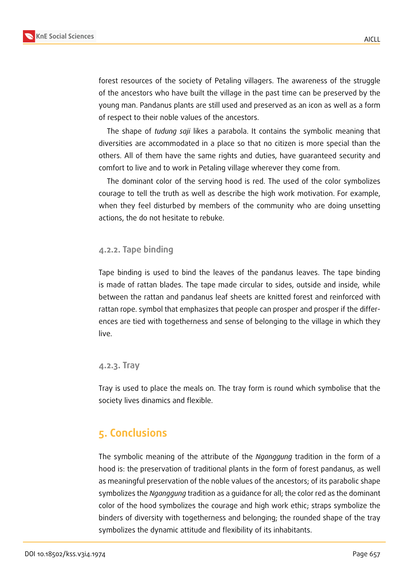

forest resources of the society of Petaling villagers. The awareness of the struggle of the ancestors who have built the village in the past time can be preserved by the young man. Pandanus plants are still used and preserved as an icon as well as a form of respect to their noble values of the ancestors.

The shape of *tudung saji* likes a parabola. It contains the symbolic meaning that diversities are accommodated in a place so that no citizen is more special than the others. All of them have the same rights and duties, have guaranteed security and comfort to live and to work in Petaling village wherever they come from.

The dominant color of the serving hood is red. The used of the color symbolizes courage to tell the truth as well as describe the high work motivation. For example, when they feel disturbed by members of the community who are doing unsetting actions, the do not hesitate to rebuke.

#### **4.2.2. Tape binding**

Tape binding is used to bind the leaves of the pandanus leaves. The tape binding is made of rattan blades. The tape made circular to sides, outside and inside, while between the rattan and pandanus leaf sheets are knitted forest and reinforced with rattan rope. symbol that emphasizes that people can prosper and prosper if the differences are tied with togetherness and sense of belonging to the village in which they live.

#### **4.2.3. Tray**

Tray is used to place the meals on. The tray form is round which symbolise that the society lives dinamics and flexible.

## **5. Conclusions**

The symbolic meaning of the attribute of the *Nganggung* tradition in the form of a hood is: the preservation of traditional plants in the form of forest pandanus, as well as meaningful preservation of the noble values of the ancestors; of its parabolic shape symbolizes the *Nganggung* tradition as a guidance for all; the color red as the dominant color of the hood symbolizes the courage and high work ethic; straps symbolize the binders of diversity with togetherness and belonging; the rounded shape of the tray symbolizes the dynamic attitude and flexibility of its inhabitants.